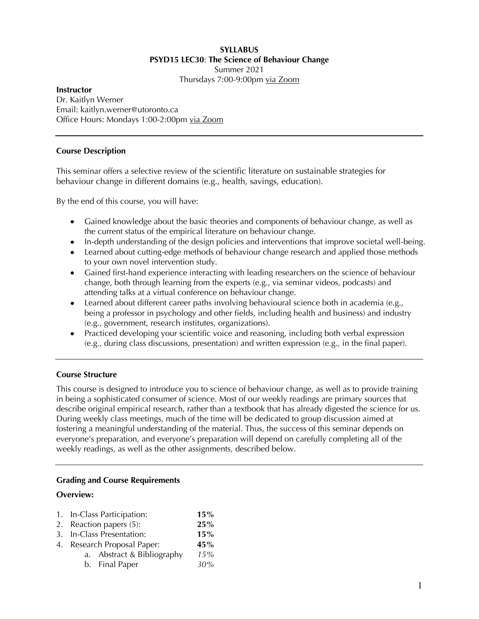#### **SYLLABUS PSYD15 LEC30**: **The Science of Behaviour Change** Summer 2021

Thursdays 7:00-9:00pm via Zoom

#### **Instructor** Dr. Kaitlyn Werner Email: kaitlyn.werner@utoronto.ca Office Hours: Mondays 1:00-2:00pm via Zoom

## **Course Description**

This seminar offers a selective review of the scientific literature on sustainable strategies for behaviour change in different domains (e.g., health, savings, education).

By the end of this course, you will have:

- Gained knowledge about the basic theories and components of behaviour change, as well as the current status of the empirical literature on behaviour change.
- In-depth understanding of the design policies and interventions that improve societal well-being.
- Learned about cutting-edge methods of behaviour change research and applied those methods to your own novel intervention study.
- Gained first-hand experience interacting with leading researchers on the science of behaviour change, both through learning from the experts (e.g., via seminar videos, podcasts) and attending talks at a virtual conference on behaviour change.
- Learned about different career paths involving behavioural science both in academia (e.g., being a professor in psychology and other fields, including health and business) and industry (e.g., government, research institutes, organizations).
- Practiced developing your scientific voice and reasoning, including both verbal expression (e.g., during class discussions, presentation) and written expression (e.g., in the final paper).

# **Course Structure**

This course is designed to introduce you to science of behaviour change, as well as to provide training in being a sophisticated consumer of science. Most of our weekly readings are primary sources that describe original empirical research, rather than a textbook that has already digested the science for us. During weekly class meetings, much of the time will be dedicated to group discussion aimed at fostering a meaningful understanding of the material. Thus, the success of this seminar depends on everyone's preparation, and everyone's preparation will depend on carefully completing all of the weekly readings, as well as the other assignments, described below.

## **Grading and Course Requirements**

## **Overview:**

| 1. In-Class Participation:  | 15% |
|-----------------------------|-----|
| 2. Reaction papers (5):     | 25% |
| 3. In-Class Presentation:   | 15% |
| 4. Research Proposal Paper: | 45% |
| a. Abstract & Bibliography  | 15% |
| b. Final Paper              | 30% |
|                             |     |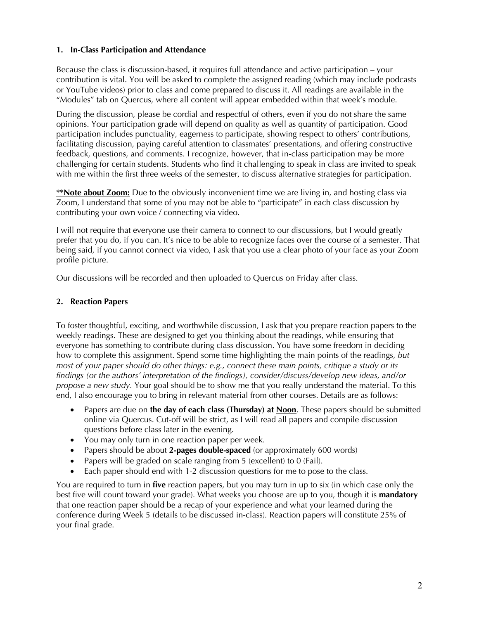## **1. In-Class Participation and Attendance**

Because the class is discussion-based, it requires full attendance and active participation – your contribution is vital. You will be asked to complete the assigned reading (which may include podcasts or YouTube videos) prior to class and come prepared to discuss it. All readings are available in the "Modules" tab on Quercus, where all content will appear embedded within that week's module.

During the discussion, please be cordial and respectful of others, even if you do not share the same opinions. Your participation grade will depend on quality as well as quantity of participation. Good participation includes punctuality, eagerness to participate, showing respect to others' contributions, facilitating discussion, paying careful attention to classmates' presentations, and offering constructive feedback, questions, and comments. I recognize, however, that in-class participation may be more challenging for certain students. Students who find it challenging to speak in class are invited to speak with me within the first three weeks of the semester, to discuss alternative strategies for participation.

**\*\*Note about Zoom:** Due to the obviously inconvenient time we are living in, and hosting class via Zoom, I understand that some of you may not be able to "participate" in each class discussion by contributing your own voice / connecting via video.

I will not require that everyone use their camera to connect to our discussions, but I would greatly prefer that you do, if you can. It's nice to be able to recognize faces over the course of a semester. That being said, if you cannot connect via video, I ask that you use a clear photo of your face as your Zoom profile picture.

Our discussions will be recorded and then uploaded to Quercus on Friday after class.

## **2. Reaction Papers**

To foster thoughtful, exciting, and worthwhile discussion, I ask that you prepare reaction papers to the weekly readings. These are designed to get you thinking about the readings, while ensuring that everyone has something to contribute during class discussion. You have some freedom in deciding how to complete this assignment. Spend some time highlighting the main points of the readings, *but most of your paper should do other things: e.g., connect these main points, critique a study or its findings (or the authors' interpretation of the findings), consider/discuss/develop new ideas, and/or propose a new study.* Your goal should be to show me that you really understand the material. To this end, I also encourage you to bring in relevant material from other courses. Details are as follows:

- Papers are due on **the day of each class (Thursday) at Noon**. These papers should be submitted online via Quercus. Cut-off will be strict, as I will read all papers and compile discussion questions before class later in the evening.
- You may only turn in one reaction paper per week.
- Papers should be about **2-pages double-spaced** (or approximately 600 words)
- Papers will be graded on scale ranging from 5 (excellent) to 0 (Fail).
- Each paper should end with 1-2 discussion questions for me to pose to the class.

You are required to turn in **five** reaction papers, but you may turn in up to six (in which case only the best five will count toward your grade). What weeks you choose are up to you, though it is **mandatory**  that one reaction paper should be a recap of your experience and what your learned during the conference during Week 5 (details to be discussed in-class)*.* Reaction papers will constitute 25% of your final grade.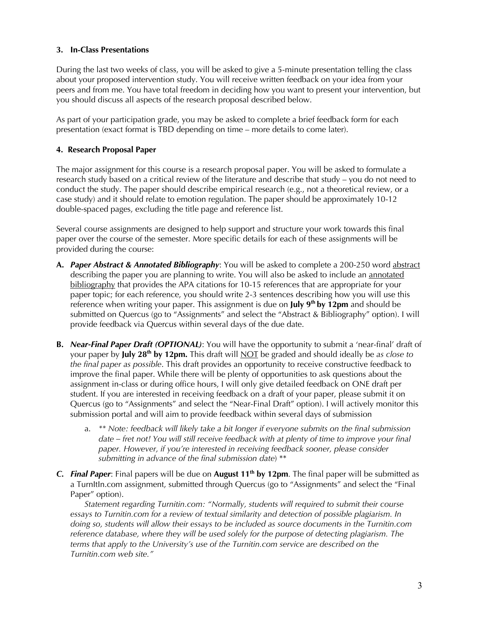## **3. In-Class Presentations**

During the last two weeks of class, you will be asked to give a 5-minute presentation telling the class about your proposed intervention study. You will receive written feedback on your idea from your peers and from me. You have total freedom in deciding how you want to present your intervention, but you should discuss all aspects of the research proposal described below.

As part of your participation grade, you may be asked to complete a brief feedback form for each presentation (exact format is TBD depending on time – more details to come later).

#### **4. Research Proposal Paper**

The major assignment for this course is a research proposal paper. You will be asked to formulate a research study based on a critical review of the literature and describe that study – you do not need to conduct the study. The paper should describe empirical research (e.g., not a theoretical review, or a case study) and it should relate to emotion regulation. The paper should be approximately 10-12 double-spaced pages, excluding the title page and reference list.

Several course assignments are designed to help support and structure your work towards this final paper over the course of the semester. More specific details for each of these assignments will be provided during the course:

- **A.** *Paper Abstract & Annotated Bibliography*: You will be asked to complete a 200-250 word abstract describing the paper you are planning to write. You will also be asked to include an annotated bibliography that provides the APA citations for 10-15 references that are appropriate for your paper topic; for each reference, you should write 2-3 sentences describing how you will use this reference when writing your paper. This assignment is due on July 9<sup>th</sup> by 12pm and should be submitted on Quercus (go to "Assignments" and select the "Abstract & Bibliography" option). I will provide feedback via Quercus within several days of the due date.
- **B.** *Near-Final Paper Draft (OPTIONAL)*: You will have the opportunity to submit a 'near-final' draft of your paper by **July 28th by 12pm.** This draft will NOT be graded and should ideally be *as close to the final paper as possible*. This draft provides an opportunity to receive constructive feedback to improve the final paper. While there will be plenty of opportunities to ask questions about the assignment in-class or during office hours, I will only give detailed feedback on ONE draft per student. If you are interested in receiving feedback on a draft of your paper, please submit it on Quercus (go to "Assignments" and select the "Near-Final Draft" option). I will actively monitor this submission portal and will aim to provide feedback within several days of submission
	- a. *\*\* Note: feedback will likely take a bit longer if everyone submits on the final submission date – fret not! You will still receive feedback with at plenty of time to improve your final paper. However, if you're interested in receiving feedback sooner, please consider submitting in advance of the final submission date*) \*\*
- *C. Final Paper*: Final papers will be due on **August 11<sup>th</sup> by 12pm**. The final paper will be submitted as a TurnItIn.com assignment, submitted through Quercus (go to "Assignments" and select the "Final Paper" option).

*Statement regarding Turnitin.com: "Normally, students will required to submit their course essays to Turnitin.com for a review of textual similarity and detection of possible plagiarism. In doing so, students will allow their essays to be included as source documents in the Turnitin.com reference database, where they will be used solely for the purpose of detecting plagiarism. The terms that apply to the University's use of the Turnitin.com service are described on the Turnitin.com web site."*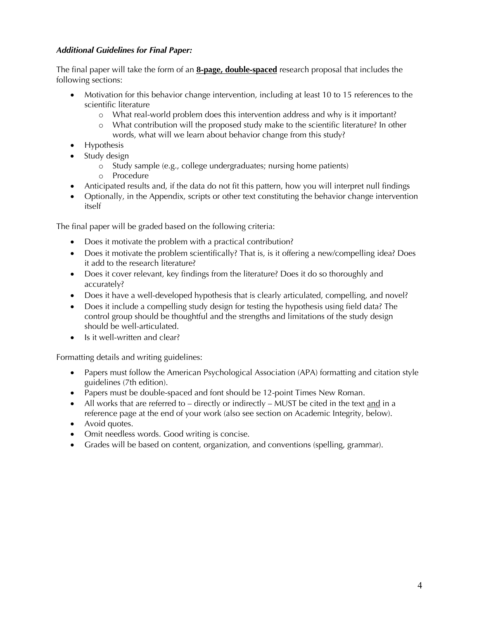# *Additional Guidelines for Final Paper:*

The final paper will take the form of an **8-page, double-spaced** research proposal that includes the following sections:

- Motivation for this behavior change intervention, including at least 10 to 15 references to the scientific literature
	- o What real-world problem does this intervention address and why is it important?
	- o What contribution will the proposed study make to the scientific literature? In other words, what will we learn about behavior change from this study?
- Hypothesis
- Study design
	- o Study sample (e.g., college undergraduates; nursing home patients)
	- o Procedure
- Anticipated results and, if the data do not fit this pattern, how you will interpret null findings
- Optionally, in the Appendix, scripts or other text constituting the behavior change intervention itself

The final paper will be graded based on the following criteria:

- Does it motivate the problem with a practical contribution?
- Does it motivate the problem scientifically? That is, is it offering a new/compelling idea? Does it add to the research literature?
- Does it cover relevant, key findings from the literature? Does it do so thoroughly and accurately?
- Does it have a well-developed hypothesis that is clearly articulated, compelling, and novel?
- Does it include a compelling study design for testing the hypothesis using field data? The control group should be thoughtful and the strengths and limitations of the study design should be well-articulated.
- Is it well-written and clear?

Formatting details and writing guidelines:

- Papers must follow the American Psychological Association (APA) formatting and citation style guidelines (7th edition).
- Papers must be double-spaced and font should be 12-point Times New Roman.
- All works that are referred to directly or indirectly MUST be cited in the text and in a reference page at the end of your work (also see section on Academic Integrity, below).
- Avoid quotes.
- Omit needless words. Good writing is concise.
- Grades will be based on content, organization, and conventions (spelling, grammar).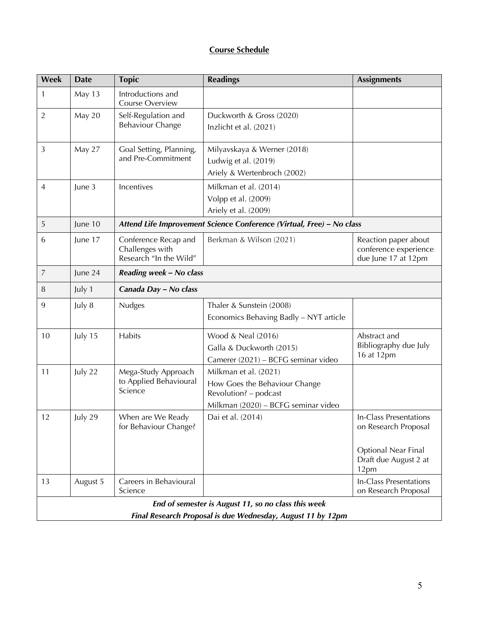# **Course Schedule**

| Week                                                        | <b>Date</b> | <b>Topic</b>                                                          | <b>Readings</b>                                                                                                        | <b>Assignments</b>                                                                                     |  |  |
|-------------------------------------------------------------|-------------|-----------------------------------------------------------------------|------------------------------------------------------------------------------------------------------------------------|--------------------------------------------------------------------------------------------------------|--|--|
| 1                                                           | May 13      | Introductions and<br>Course Overview                                  |                                                                                                                        |                                                                                                        |  |  |
| $\overline{2}$                                              | May 20      | Self-Regulation and<br><b>Behaviour Change</b>                        | Duckworth & Gross (2020)<br>Inzlicht et al. (2021)                                                                     |                                                                                                        |  |  |
| 3                                                           | May 27      | Goal Setting, Planning,<br>and Pre-Commitment                         | Milyavskaya & Werner (2018)<br>Ludwig et al. (2019)<br>Ariely & Wertenbroch (2002)                                     |                                                                                                        |  |  |
| 4                                                           | June 3      | Incentives                                                            | Milkman et al. (2014)<br>Volpp et al. (2009)<br>Ariely et al. (2009)                                                   |                                                                                                        |  |  |
| 5                                                           | June 10     | Attend Life Improvement Science Conference (Virtual, Free) - No class |                                                                                                                        |                                                                                                        |  |  |
| 6                                                           | June 17     | Conference Recap and<br>Challenges with<br>Research "In the Wild"     | Berkman & Wilson (2021)                                                                                                | Reaction paper about<br>conference experience<br>due June 17 at 12pm                                   |  |  |
| 7                                                           | June 24     | Reading week - No class                                               |                                                                                                                        |                                                                                                        |  |  |
| 8                                                           | July 1      | Canada Day - No class                                                 |                                                                                                                        |                                                                                                        |  |  |
| 9                                                           | July 8      | <b>Nudges</b>                                                         | Thaler & Sunstein (2008)<br>Economics Behaving Badly - NYT article                                                     |                                                                                                        |  |  |
| 10                                                          | July 15     | Habits                                                                | Wood & Neal (2016)<br>Galla & Duckworth (2015)<br>Camerer (2021) - BCFG seminar video                                  | Abstract and<br>Bibliography due July<br>16 at 12pm                                                    |  |  |
| 11                                                          | July 22     | Mega-Study Approach<br>to Applied Behavioural<br>Science              | Milkman et al. (2021)<br>How Goes the Behaviour Change<br>Revolution? - podcast<br>Milkman (2020) - BCFG seminar video |                                                                                                        |  |  |
| 12                                                          | July 29     | When are We Ready<br>for Behaviour Change?                            | Dai et al. (2014)                                                                                                      | In-Class Presentations<br>on Research Proposal<br>Optional Near Final<br>Draft due August 2 at<br>12pm |  |  |
| 13                                                          | August 5    | Careers in Behavioural<br>Science                                     |                                                                                                                        | <b>In-Class Presentations</b><br>on Research Proposal                                                  |  |  |
| End of semester is August 11, so no class this week         |             |                                                                       |                                                                                                                        |                                                                                                        |  |  |
| Final Research Proposal is due Wednesday, August 11 by 12pm |             |                                                                       |                                                                                                                        |                                                                                                        |  |  |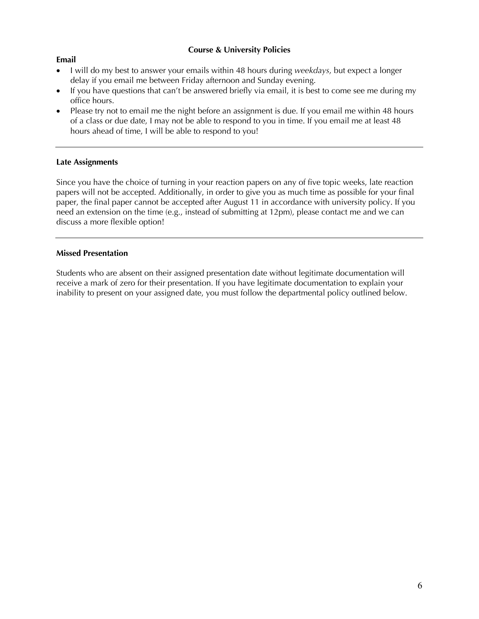## **Course & University Policies**

#### **Email**

- I will do my best to answer your emails within 48 hours during *weekdays*, but expect a longer delay if you email me between Friday afternoon and Sunday evening.
- If you have questions that can't be answered briefly via email, it is best to come see me during my office hours.
- Please try not to email me the night before an assignment is due. If you email me within 48 hours of a class or due date, I may not be able to respond to you in time. If you email me at least 48 hours ahead of time, I will be able to respond to you!

#### **Late Assignments**

Since you have the choice of turning in your reaction papers on any of five topic weeks, late reaction papers will not be accepted. Additionally, in order to give you as much time as possible for your final paper, the final paper cannot be accepted after August 11 in accordance with university policy. If you need an extension on the time (e.g., instead of submitting at 12pm), please contact me and we can discuss a more flexible option!

#### **Missed Presentation**

Students who are absent on their assigned presentation date without legitimate documentation will receive a mark of zero for their presentation. If you have legitimate documentation to explain your inability to present on your assigned date, you must follow the departmental policy outlined below.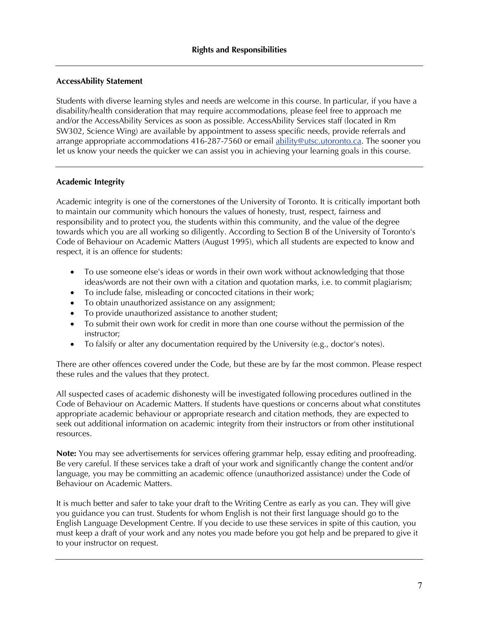## **AccessAbility Statement**

Students with diverse learning styles and needs are welcome in this course. In particular, if you have a disability/health consideration that may require accommodations, please feel free to approach me and/or the AccessAbility Services as soon as possible. AccessAbility Services staff (located in Rm SW302, Science Wing) are available by appointment to assess specific needs, provide referrals and arrange appropriate accommodations 416-287-7560 or email ability@utsc.utoronto.ca. The sooner you let us know your needs the quicker we can assist you in achieving your learning goals in this course.

## **Academic Integrity**

Academic integrity is one of the cornerstones of the University of Toronto. It is critically important both to maintain our community which honours the values of honesty, trust, respect, fairness and responsibility and to protect you, the students within this community, and the value of the degree towards which you are all working so diligently. According to Section B of the University of Toronto's Code of Behaviour on Academic Matters (August 1995), which all students are expected to know and respect, it is an offence for students:

- To use someone else's ideas or words in their own work without acknowledging that those ideas/words are not their own with a citation and quotation marks, i.e. to commit plagiarism;
- To include false, misleading or concocted citations in their work;
- To obtain unauthorized assistance on any assignment;
- To provide unauthorized assistance to another student;
- To submit their own work for credit in more than one course without the permission of the instructor;
- To falsify or alter any documentation required by the University (e.g., doctor's notes).

There are other offences covered under the Code, but these are by far the most common. Please respect these rules and the values that they protect.

All suspected cases of academic dishonesty will be investigated following procedures outlined in the Code of Behaviour on Academic Matters. If students have questions or concerns about what constitutes appropriate academic behaviour or appropriate research and citation methods, they are expected to seek out additional information on academic integrity from their instructors or from other institutional resources.

**Note:** You may see advertisements for services offering grammar help, essay editing and proofreading. Be very careful. If these services take a draft of your work and significantly change the content and/or language, you may be committing an academic offence (unauthorized assistance) under the Code of Behaviour on Academic Matters.

It is much better and safer to take your draft to the Writing Centre as early as you can. They will give you guidance you can trust. Students for whom English is not their first language should go to the English Language Development Centre. If you decide to use these services in spite of this caution, you must keep a draft of your work and any notes you made before you got help and be prepared to give it to your instructor on request.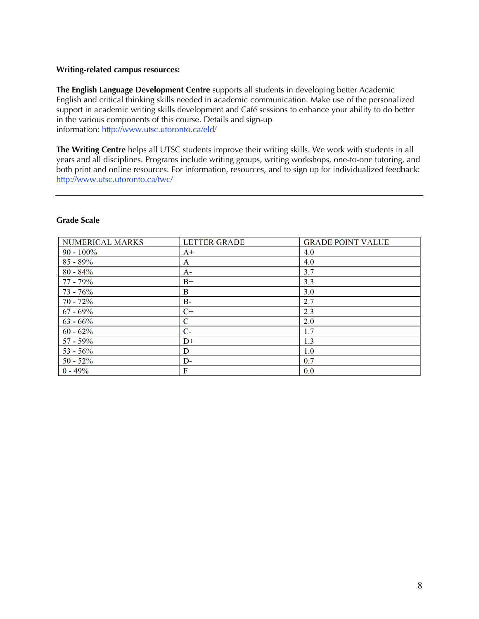#### **Writing-related campus resources:**

**The English Language Development Centre** supports all students in developing better Academic English and critical thinking skills needed in academic communication. Make use of the personalized support in academic writing skills development and Café sessions to enhance your ability to do better in the various components of this course. Details and sign-up information: http://www.utsc.utoronto.ca/eld/

**The Writing Centre** helps all UTSC students improve their writing skills. We work with students in all years and all disciplines. Programs include writing groups, writing workshops, one-to-one tutoring, and both print and online resources. For information, resources, and to sign up for individualized feedback: http://www.utsc.utoronto.ca/twc/

#### **Grade Scale**

| NUMERICAL MARKS | <b>LETTER GRADE</b> | <b>GRADE POINT VALUE</b> |
|-----------------|---------------------|--------------------------|
| $90 - 100\%$    | $A+$                | 4.0                      |
| $85 - 89\%$     | A                   | 4.0                      |
| $80 - 84\%$     | $A-$                | 3.7                      |
| $77 - 79\%$     | $B+$                | 3.3                      |
| $73 - 76%$      | B                   | 3.0                      |
| $70 - 72%$      | $B -$               | 2.7                      |
| $67 - 69\%$     | $C+$                | 2.3                      |
| $63 - 66\%$     | $\mathbf C$         | 2.0                      |
| $60 - 62%$      | $C-$                | 1.7                      |
| $57 - 59\%$     | $D+$                | 1.3                      |
| $53 - 56\%$     | D                   | 1.0                      |
| $50 - 52%$      | $D-$                | 0.7                      |
| $0 - 49%$       | F                   | 0.0                      |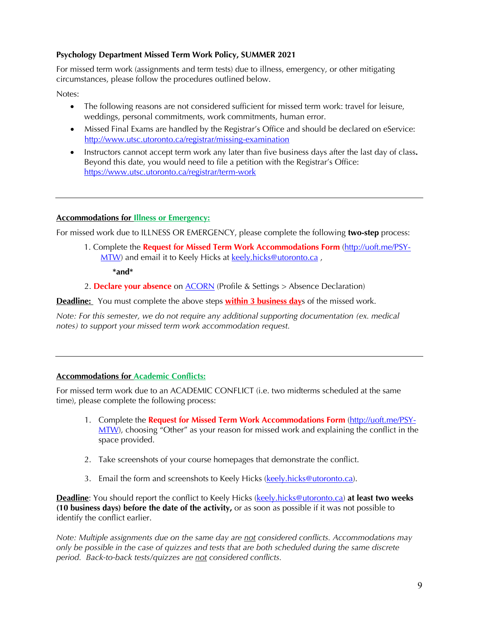## **Psychology Department Missed Term Work Policy, SUMMER 2021**

For missed term work (assignments and term tests) due to illness, emergency, or other mitigating circumstances, please follow the procedures outlined below.

Notes:

- The following reasons are not considered sufficient for missed term work: travel for leisure, weddings, personal commitments, work commitments, human error.
- Missed Final Exams are handled by the Registrar's Office and should be declared on eService: http://www.utsc.utoronto.ca/registrar/missing-examination
- Instructors cannot accept term work any later than five business days after the last day of class**.** Beyond this date, you would need to file a petition with the Registrar's Office: https://www.utsc.utoronto.ca/registrar/term-work

## **Accommodations for Illness or Emergency:**

For missed work due to ILLNESS OR EMERGENCY, please complete the following **two-step** process:

1. Complete the **Request for Missed Term Work Accommodations Form** (http://uoft.me/PSY-MTW) and email it to Keely Hicks at keely.hicks@utoronto.ca,

**\*and\*** 

2. **Declare your absence** on ACORN (Profile & Settings > Absence Declaration)

**Deadline:** You must complete the above steps **within 3 business day**s of the missed work.

*Note: For this semester, we do not require any additional supporting documentation (ex. medical notes) to support your missed term work accommodation request.*

## **Accommodations for Academic Conflicts:**

For missed term work due to an ACADEMIC CONFLICT (i.e. two midterms scheduled at the same time), please complete the following process:

- 1. Complete the **Request for Missed Term Work Accommodations Form** (http://uoft.me/PSY-MTW), choosing "Other" as your reason for missed work and explaining the conflict in the space provided.
- 2. Take screenshots of your course homepages that demonstrate the conflict.
- 3. Email the form and screenshots to Keely Hicks (keely.hicks@utoronto.ca).

**Deadline**: You should report the conflict to Keely Hicks (keely.hicks@utoronto.ca) **at least two weeks (10 business days) before the date of the activity,** or as soon as possible if it was not possible to identify the conflict earlier.

*Note: Multiple assignments due on the same day are not considered conflicts. Accommodations may only be possible in the case of quizzes and tests that are both scheduled during the same discrete period. Back-to-back tests/quizzes are not considered conflicts.*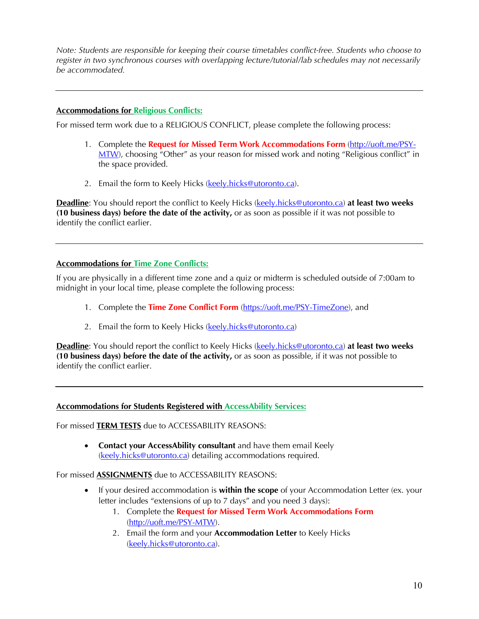*Note: Students are responsible for keeping their course timetables conflict-free. Students who choose to register in two synchronous courses with overlapping lecture/tutorial/lab schedules may not necessarily be accommodated.* 

## **Accommodations for Religious Conflicts:**

For missed term work due to a RELIGIOUS CONFLICT, please complete the following process:

- 1. Complete the **Request for Missed Term Work Accommodations Form** (http://uoft.me/PSY-MTW), choosing "Other" as your reason for missed work and noting "Religious conflict" in the space provided.
- 2. Email the form to Keely Hicks (keely.hicks@utoronto.ca).

**Deadline**: You should report the conflict to Keely Hicks (keely.hicks@utoronto.ca) **at least two weeks (10 business days) before the date of the activity,** or as soon as possible if it was not possible to identify the conflict earlier.

## **Accommodations for Time Zone Conflicts:**

If you are physically in a different time zone and a quiz or midterm is scheduled outside of 7:00am to midnight in your local time, please complete the following process:

- 1. Complete the **Time Zone Conflict Form** (https://uoft.me/PSY-TimeZone), and
- 2. Email the form to Keely Hicks (keely.hicks@utoronto.ca)

**Deadline**: You should report the conflict to Keely Hicks (keely.hicks@utoronto.ca) **at least two weeks (10 business days) before the date of the activity,** or as soon as possible, if it was not possible to identify the conflict earlier.

## **Accommodations for Students Registered with AccessAbility Services:**

For missed **TERM TESTS** due to ACCESSABILITY REASONS:

• **Contact your AccessAbility consultant** and have them email Keely (keely.hicks@utoronto.ca) detailing accommodations required.

## For missed **ASSIGNMENTS** due to ACCESSABILITY REASONS:

- If your desired accommodation is **within the scope** of your Accommodation Letter (ex. your letter includes "extensions of up to 7 days" and you need 3 days):
	- 1. Complete the **Request for Missed Term Work Accommodations Form** (http://uoft.me/PSY-MTW).
	- 2. Email the form and your **Accommodation Letter** to Keely Hicks (keely.hicks@utoronto.ca).